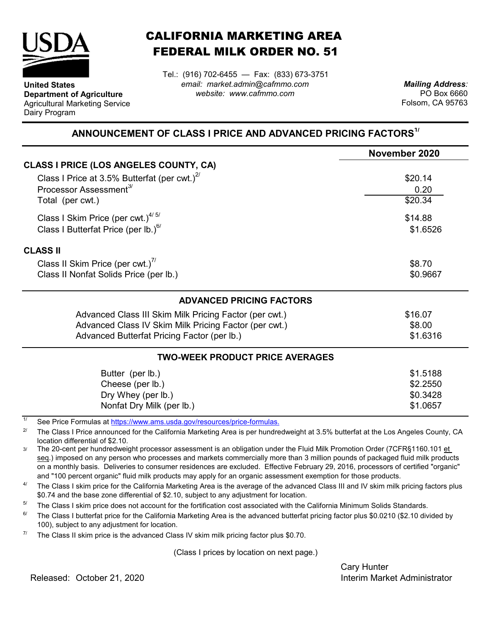

**United States**

Dairy Program

**Department of Agriculture** Agricultural Marketing Service

## CALIFORNIA MARKETING AREA FEDERAL MILK ORDER NO. 51

Tel.: (916) 702-6455 — Fax: (833) 673-3751 *email: market.admin@cafmmo.com website: www.cafmmo.com*

*Mailing Address:* PO Box 6660 Folsom, CA 95763

## **ANNOUNCEMENT OF CLASS I PRICE AND ADVANCED PRICING FACTORS1/**

|                                                                               | November 2020 |  |  |
|-------------------------------------------------------------------------------|---------------|--|--|
| <b>CLASS I PRICE (LOS ANGELES COUNTY, CA)</b>                                 |               |  |  |
| Class I Price at 3.5% Butterfat (per cwt.) $2^{\prime\prime}$                 | \$20.14       |  |  |
| Processor Assessment <sup>3/</sup>                                            | 0.20          |  |  |
| Total (per cwt.)                                                              | \$20.34       |  |  |
| Class I Skim Price (per cwt.) $4/5/$                                          | \$14.88       |  |  |
| Class I Butterfat Price (per lb.) $^{6/}$                                     | \$1.6526      |  |  |
| <b>CLASS II</b>                                                               |               |  |  |
| Class II Skim Price (per cwt.) <sup>7/</sup>                                  | \$8.70        |  |  |
| Class II Nonfat Solids Price (per lb.)                                        | \$0.9667      |  |  |
| <b>ADVANCED PRICING FACTORS</b>                                               |               |  |  |
| Advanced Class III Skim Milk Pricing Factor (per cwt.)                        | \$16.07       |  |  |
| Advanced Class IV Skim Milk Pricing Factor (per cwt.)                         | \$8.00        |  |  |
| Advanced Butterfat Pricing Factor (per lb.)                                   | \$1.6316      |  |  |
| <b>TWO-WEEK PRODUCT PRICE AVERAGES</b>                                        |               |  |  |
| Butter (per lb.)                                                              | \$1.5188      |  |  |
| Cheese (per lb.)                                                              | \$2.2550      |  |  |
| Dry Whey (per lb.)                                                            | \$0.3428      |  |  |
| Nonfat Dry Milk (per lb.)                                                     | \$1.0657      |  |  |
| 1/<br>Cee Dries Fermules of https://www.ams.uado.gov/resources/prise fermules |               |  |  |

See Price Formulas at <u>https://www.ams.usda.gov/resources/price-formulas.</u>

2/ The Class I Price announced for the California Marketing Area is per hundredweight at 3.5% butterfat at the Los Angeles County, CA location differential of \$2.10.

3/ The 20-cent per hundredweight processor assessment is an obligation under the Fluid Milk Promotion Order (7CFR§1160.101 et seq.) imposed on any person who processes and markets commercially more than 3 million pounds of packaged fluid milk products on a monthly basis. Deliveries to consumer residences are excluded. Effective February 29, 2016, processors of certified "organic" and "100 percent organic" fluid milk products may apply for an organic assessment exemption for those products.

4/ The Class I skim price for the California Marketing Area is the average of the advanced Class III and IV skim milk pricing factors plus \$0.74 and the base zone differential of \$2.10, subject to any adjustment for location.

5/ The Class I skim price does not account for the fortification cost associated with the California Minimum Solids Standards.

6/ The Class I butterfat price for the California Marketing Area is the advanced butterfat pricing factor plus \$0.0210 (\$2.10 divided by 100), subject to any adjustment for location.

7/ The Class II skim price is the advanced Class IV skim milk pricing factor plus \$0.70.

(Class I prices by location on next page.)

Cary Hunter

Released: Interim Market Administrator October 21, 2020